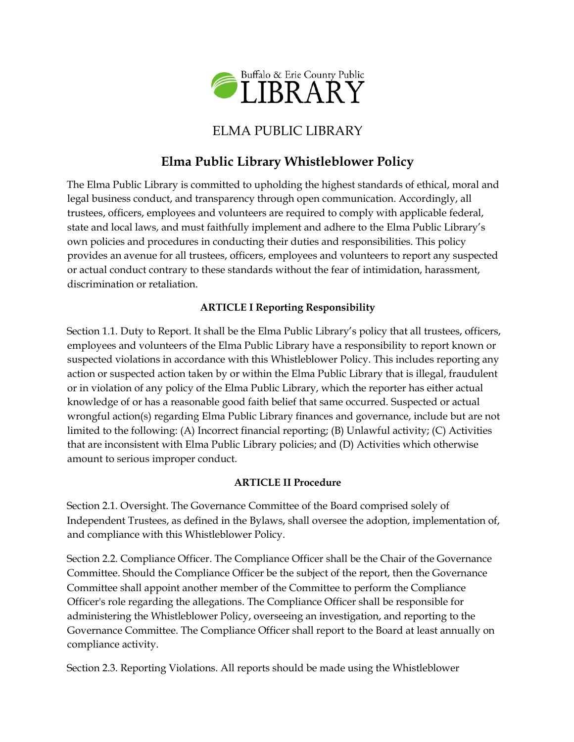

## ELMA PUBLIC LIBRARY

# **Elma Public Library Whistleblower Policy**

The Elma Public Library is committed to upholding the highest standards of ethical, moral and legal business conduct, and transparency through open communication. Accordingly, all trustees, officers, employees and volunteers are required to comply with applicable federal, state and local laws, and must faithfully implement and adhere to the Elma Public Library's own policies and procedures in conducting their duties and responsibilities. This policy provides an avenue for all trustees, officers, employees and volunteers to report any suspected or actual conduct contrary to these standards without the fear of intimidation, harassment, discrimination or retaliation.

## **ARTICLE I Reporting Responsibility**

Section 1.1. Duty to Report. It shall be the Elma Public Library's policy that all trustees, officers, employees and volunteers of the Elma Public Library have a responsibility to report known or suspected violations in accordance with this Whistleblower Policy. This includes reporting any action or suspected action taken by or within the Elma Public Library that is illegal, fraudulent or in violation of any policy of the Elma Public Library, which the reporter has either actual knowledge of or has a reasonable good faith belief that same occurred. Suspected or actual wrongful action(s) regarding Elma Public Library finances and governance, include but are not limited to the following: (A) Incorrect financial reporting; (B) Unlawful activity; (C) Activities that are inconsistent with Elma Public Library policies; and (D) Activities which otherwise amount to serious improper conduct.

### **ARTICLE II Procedure**

Section 2.1. Oversight. The Governance Committee of the Board comprised solely of Independent Trustees, as defined in the Bylaws, shall oversee the adoption, implementation of, and compliance with this Whistleblower Policy.

Section 2.2. Compliance Officer. The Compliance Officer shall be the Chair of the Governance Committee. Should the Compliance Officer be the subject of the report, then the Governance Committee shall appoint another member of the Committee to perform the Compliance Officer's role regarding the allegations. The Compliance Officer shall be responsible for administering the Whistleblower Policy, overseeing an investigation, and reporting to the Governance Committee. The Compliance Officer shall report to the Board at least annually on compliance activity.

Section 2.3. Reporting Violations. All reports should be made using the Whistleblower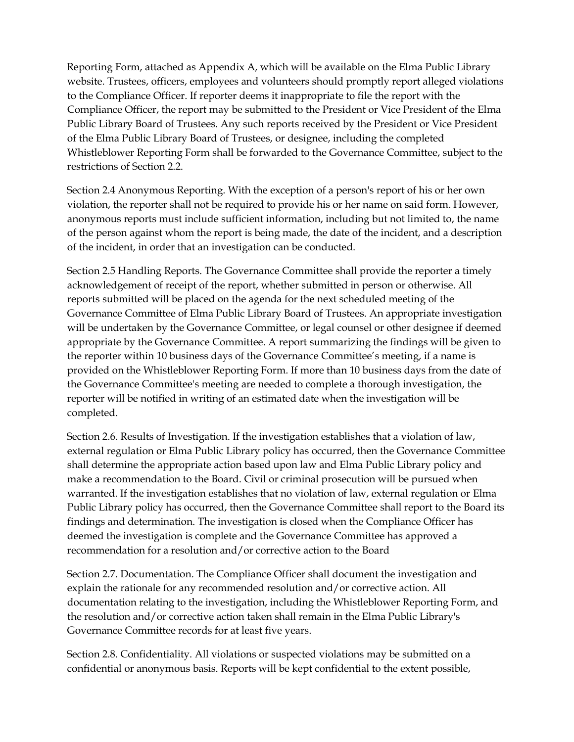Reporting Form, attached as Appendix A, which will be available on the Elma Public Library website. Trustees, officers, employees and volunteers should promptly report alleged violations to the Compliance Officer. If reporter deems it inappropriate to file the report with the Compliance Officer, the report may be submitted to the President or Vice President of the Elma Public Library Board of Trustees. Any such reports received by the President or Vice President of the Elma Public Library Board of Trustees, or designee, including the completed Whistleblower Reporting Form shall be forwarded to the Governance Committee, subject to the restrictions of Section 2.2.

Section 2.4 Anonymous Reporting. With the exception of a person's report of his or her own violation, the reporter shall not be required to provide his or her name on said form. However, anonymous reports must include sufficient information, including but not limited to, the name of the person against whom the report is being made, the date of the incident, and a description of the incident, in order that an investigation can be conducted.

Section 2.5 Handling Reports. The Governance Committee shall provide the reporter a timely acknowledgement of receipt of the report, whether submitted in person or otherwise. All reports submitted will be placed on the agenda for the next scheduled meeting of the Governance Committee of Elma Public Library Board of Trustees. An appropriate investigation will be undertaken by the Governance Committee, or legal counsel or other designee if deemed appropriate by the Governance Committee. A report summarizing the findings will be given to the reporter within 10 business days of the Governance Committee's meeting, if a name is provided on the Whistleblower Reporting Form. If more than 10 business days from the date of the Governance Committee's meeting are needed to complete a thorough investigation, the reporter will be notified in writing of an estimated date when the investigation will be completed.

Section 2.6. Results of Investigation. If the investigation establishes that a violation of law, external regulation or Elma Public Library policy has occurred, then the Governance Committee shall determine the appropriate action based upon law and Elma Public Library policy and make a recommendation to the Board. Civil or criminal prosecution will be pursued when warranted. If the investigation establishes that no violation of law, external regulation or Elma Public Library policy has occurred, then the Governance Committee shall report to the Board its findings and determination. The investigation is closed when the Compliance Officer has deemed the investigation is complete and the Governance Committee has approved a recommendation for a resolution and/or corrective action to the Board

Section 2.7. Documentation. The Compliance Officer shall document the investigation and explain the rationale for any recommended resolution and/or corrective action. All documentation relating to the investigation, including the Whistleblower Reporting Form, and the resolution and/or corrective action taken shall remain in the Elma Public Library's Governance Committee records for at least five years.

Section 2.8. Confidentiality. All violations or suspected violations may be submitted on a confidential or anonymous basis. Reports will be kept confidential to the extent possible,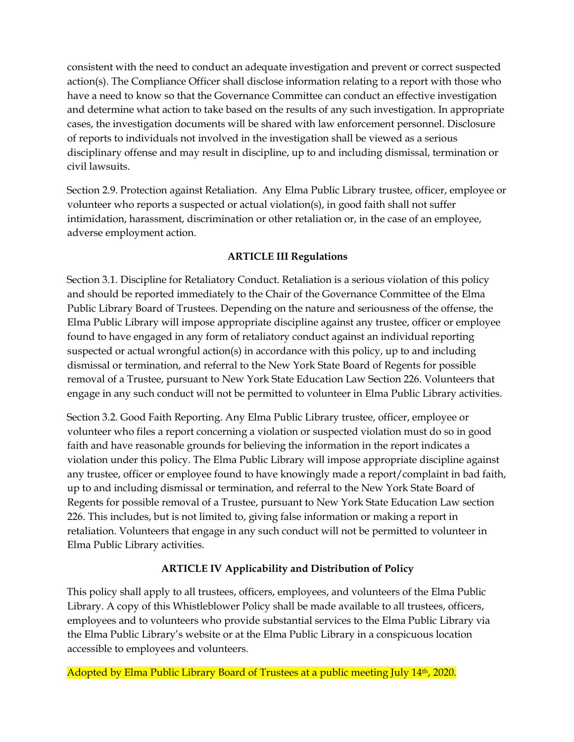consistent with the need to conduct an adequate investigation and prevent or correct suspected action(s). The Compliance Officer shall disclose information relating to a report with those who have a need to know so that the Governance Committee can conduct an effective investigation and determine what action to take based on the results of any such investigation. In appropriate cases, the investigation documents will be shared with law enforcement personnel. Disclosure of reports to individuals not involved in the investigation shall be viewed as a serious disciplinary offense and may result in discipline, up to and including dismissal, termination or civil lawsuits.

Section 2.9. Protection against Retaliation. Any Elma Public Library trustee, officer, employee or volunteer who reports a suspected or actual violation(s), in good faith shall not suffer intimidation, harassment, discrimination or other retaliation or, in the case of an employee, adverse employment action.

#### **ARTICLE III Regulations**

Section 3.1. Discipline for Retaliatory Conduct. Retaliation is a serious violation of this policy and should be reported immediately to the Chair of the Governance Committee of the Elma Public Library Board of Trustees. Depending on the nature and seriousness of the offense, the Elma Public Library will impose appropriate discipline against any trustee, officer or employee found to have engaged in any form of retaliatory conduct against an individual reporting suspected or actual wrongful action(s) in accordance with this policy, up to and including dismissal or termination, and referral to the New York State Board of Regents for possible removal of a Trustee, pursuant to New York State Education Law Section 226. Volunteers that engage in any such conduct will not be permitted to volunteer in Elma Public Library activities.

Section 3.2. Good Faith Reporting. Any Elma Public Library trustee, officer, employee or volunteer who files a report concerning a violation or suspected violation must do so in good faith and have reasonable grounds for believing the information in the report indicates a violation under this policy. The Elma Public Library will impose appropriate discipline against any trustee, officer or employee found to have knowingly made a report/complaint in bad faith, up to and including dismissal or termination, and referral to the New York State Board of Regents for possible removal of a Trustee, pursuant to New York State Education Law section 226. This includes, but is not limited to, giving false information or making a report in retaliation. Volunteers that engage in any such conduct will not be permitted to volunteer in Elma Public Library activities.

### **ARTICLE IV Applicability and Distribution of Policy**

This policy shall apply to all trustees, officers, employees, and volunteers of the Elma Public Library. A copy of this Whistleblower Policy shall be made available to all trustees, officers, employees and to volunteers who provide substantial services to the Elma Public Library via the Elma Public Library's website or at the Elma Public Library in a conspicuous location accessible to employees and volunteers.

Adopted by Elma Public Library Board of Trustees at a public meeting July 14<sup>th</sup>, 2020.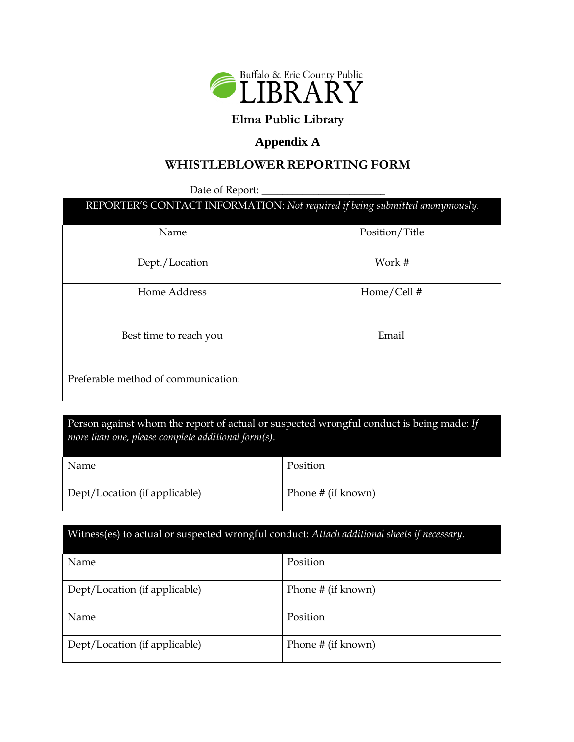

## **Elma Public Library**

## **Appendix A**

## **WHISTLEBLOWER REPORTING FORM**

Date of Report:

| REPORTER'S CONTACT INFORMATION: Not required if being submitted anonymously. |  |
|------------------------------------------------------------------------------|--|
|                                                                              |  |

| Name                                | Position/Title |
|-------------------------------------|----------------|
| Dept./Location                      | Work #         |
| Home Address                        | Home/Cell #    |
| Best time to reach you              | Email          |
| Preferable method of communication: |                |

## Person against whom the report of actual or suspected wrongful conduct is being made: *If more than one, please complete additional form(s).*

| Name                          | Position           |
|-------------------------------|--------------------|
| Dept/Location (if applicable) | Phone # (if known) |

# Witness(es) to actual or suspected wrongful conduct: *Attach additional sheets if necessary.* Name Position Dept/Location (if applicable) Phone # (if known) Name Position Dept/Location (if applicable) Phone # (if known)